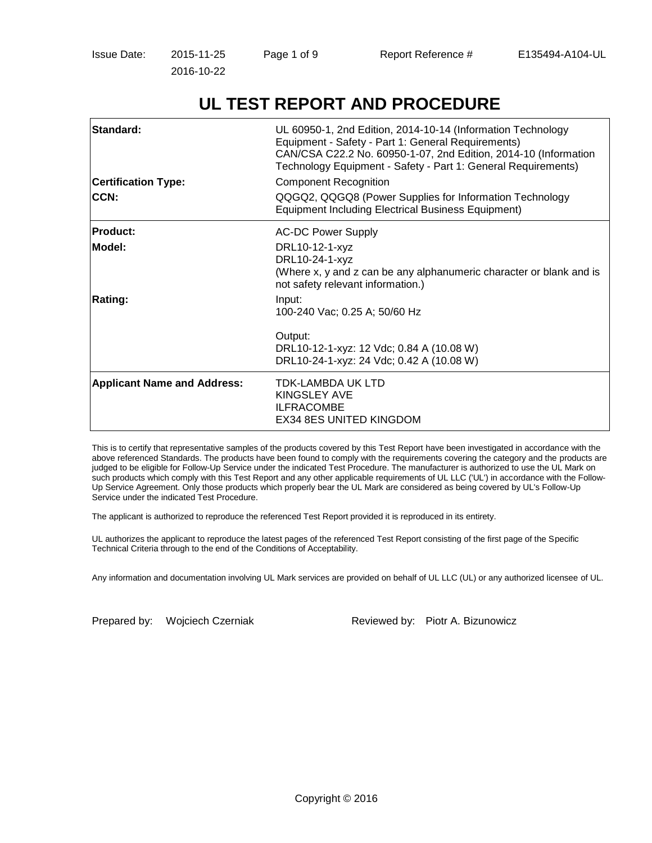Issue Date: 2015-11-25 Page 1 of 9 Report Reference # E135494-A104-UL

2016-10-22

# **UL TEST REPORT AND PROCEDURE**

| Standard:<br><b>Certification Type:</b><br>CCN: | UL 60950-1, 2nd Edition, 2014-10-14 (Information Technology<br>Equipment - Safety - Part 1: General Requirements)<br>CAN/CSA C22.2 No. 60950-1-07, 2nd Edition, 2014-10 (Information<br>Technology Equipment - Safety - Part 1: General Requirements)<br><b>Component Recognition</b><br>QQGQ2, QQGQ8 (Power Supplies for Information Technology<br><b>Equipment Including Electrical Business Equipment)</b> |
|-------------------------------------------------|---------------------------------------------------------------------------------------------------------------------------------------------------------------------------------------------------------------------------------------------------------------------------------------------------------------------------------------------------------------------------------------------------------------|
| <b>Product:</b>                                 | <b>AC-DC Power Supply</b>                                                                                                                                                                                                                                                                                                                                                                                     |
| Model:                                          | DRL10-12-1-xyz<br>DRL10-24-1-xyz<br>(Where x, y and z can be any alphanumeric character or blank and is<br>not safety relevant information.)                                                                                                                                                                                                                                                                  |
| <b>Rating:</b>                                  | Input:<br>100-240 Vac; 0.25 A; 50/60 Hz                                                                                                                                                                                                                                                                                                                                                                       |
|                                                 | Output:<br>DRL10-12-1-xyz: 12 Vdc; 0.84 A (10.08 W)<br>DRL10-24-1-xyz: 24 Vdc; 0.42 A (10.08 W)                                                                                                                                                                                                                                                                                                               |
| <b>Applicant Name and Address:</b>              | TDK-LAMBDA UK LTD<br><b>KINGSLEY AVE</b><br><b>ILFRACOMBE</b><br><b>EX34 8ES UNITED KINGDOM</b>                                                                                                                                                                                                                                                                                                               |

This is to certify that representative samples of the products covered by this Test Report have been investigated in accordance with the above referenced Standards. The products have been found to comply with the requirements covering the category and the products are judged to be eligible for Follow-Up Service under the indicated Test Procedure. The manufacturer is authorized to use the UL Mark on such products which comply with this Test Report and any other applicable requirements of UL LLC ('UL') in accordance with the Follow-Up Service Agreement. Only those products which properly bear the UL Mark are considered as being covered by UL's Follow-Up Service under the indicated Test Procedure.

The applicant is authorized to reproduce the referenced Test Report provided it is reproduced in its entirety.

UL authorizes the applicant to reproduce the latest pages of the referenced Test Report consisting of the first page of the Specific Technical Criteria through to the end of the Conditions of Acceptability.

Any information and documentation involving UL Mark services are provided on behalf of UL LLC (UL) or any authorized licensee of UL.

Prepared by: Wojciech Czerniak Reviewed by: Piotr A. Bizunowicz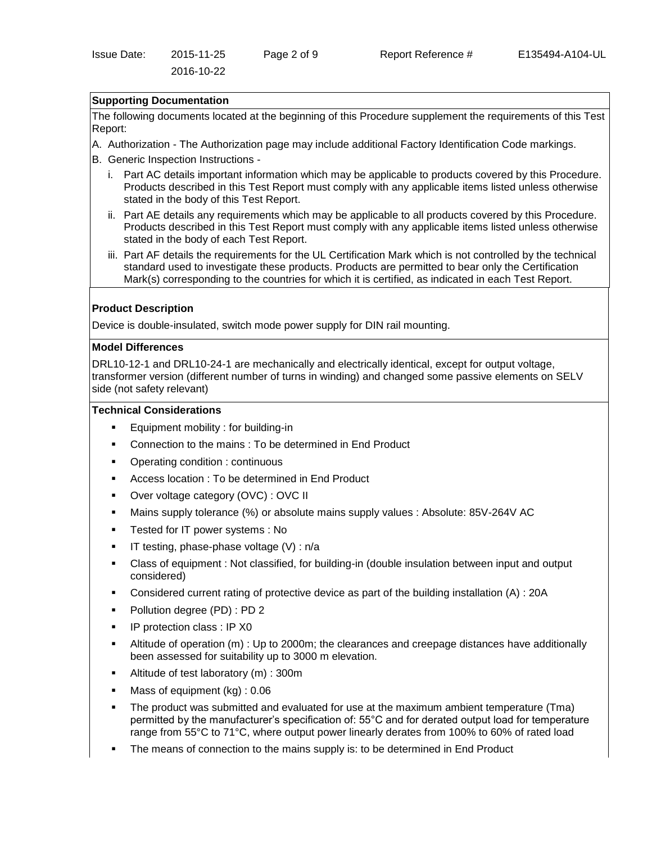# **Supporting Documentation**

2016-10-22

The following documents located at the beginning of this Procedure supplement the requirements of this Test Report:

- A. Authorization The Authorization page may include additional Factory Identification Code markings.
- B. Generic Inspection Instructions
	- i. Part AC details important information which may be applicable to products covered by this Procedure. Products described in this Test Report must comply with any applicable items listed unless otherwise stated in the body of this Test Report.
	- ii. Part AE details any requirements which may be applicable to all products covered by this Procedure. Products described in this Test Report must comply with any applicable items listed unless otherwise stated in the body of each Test Report.
	- iii. Part AF details the requirements for the UL Certification Mark which is not controlled by the technical standard used to investigate these products. Products are permitted to bear only the Certification Mark(s) corresponding to the countries for which it is certified, as indicated in each Test Report.

## **Product Description**

Device is double-insulated, switch mode power supply for DIN rail mounting.

#### **Model Differences**

DRL10-12-1 and DRL10-24-1 are mechanically and electrically identical, except for output voltage, transformer version (different number of turns in winding) and changed some passive elements on SELV side (not safety relevant)

#### **Technical Considerations**

- Equipment mobility : for building-in
- Connection to the mains : To be determined in End Product
- Operating condition : continuous
- Access location : To be determined in End Product
- Over voltage category (OVC) : OVC II
- Mains supply tolerance (%) or absolute mains supply values : Absolute: 85V-264V AC
- Tested for IT power systems : No
- $\blacksquare$  IT testing, phase-phase voltage (V) : n/a
- Class of equipment : Not classified, for building-in (double insulation between input and output considered)
- Considered current rating of protective device as part of the building installation (A) : 20A
- Pollution degree (PD) : PD 2
- IP protection class : IP X0
- Altitude of operation (m) : Up to 2000m; the clearances and creepage distances have additionally been assessed for suitability up to 3000 m elevation.
- Altitude of test laboratory (m) : 300m
- Mass of equipment (kg) : 0.06
- The product was submitted and evaluated for use at the maximum ambient temperature (Tma) permitted by the manufacturer's specification of: 55°C and for derated output load for temperature range from 55°C to 71°C, where output power linearly derates from 100% to 60% of rated load
- The means of connection to the mains supply is: to be determined in End Product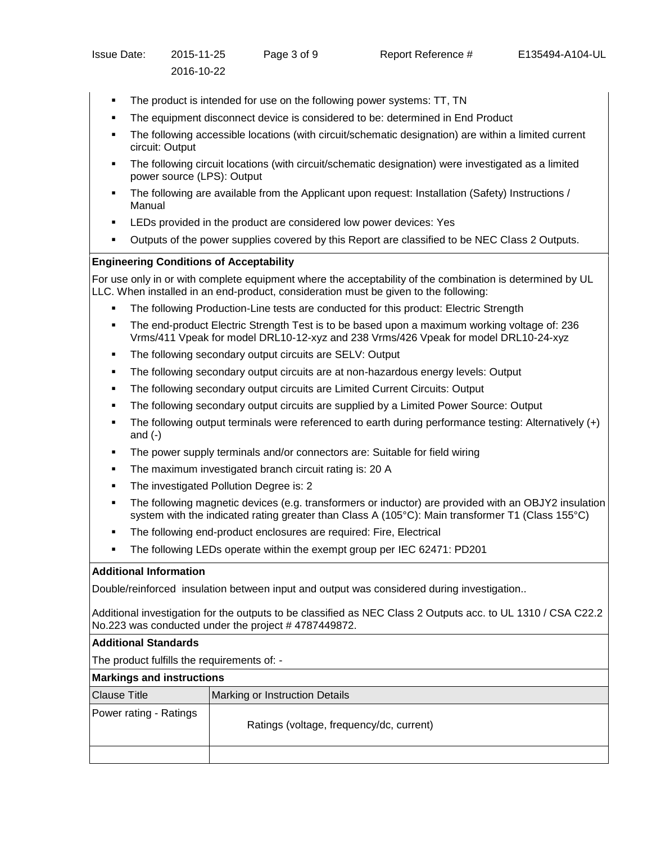- The product is intended for use on the following power systems: TT, TN
- The equipment disconnect device is considered to be: determined in End Product
- The following accessible locations (with circuit/schematic designation) are within a limited current circuit: Output
- The following circuit locations (with circuit/schematic designation) were investigated as a limited power source (LPS): Output
- The following are available from the Applicant upon request: Installation (Safety) Instructions / Manual
- LEDs provided in the product are considered low power devices: Yes
- Outputs of the power supplies covered by this Report are classified to be NEC Class 2 Outputs.

## **Engineering Conditions of Acceptability**

For use only in or with complete equipment where the acceptability of the combination is determined by UL LLC. When installed in an end-product, consideration must be given to the following:

- The following Production-Line tests are conducted for this product: Electric Strength
- The end-product Electric Strength Test is to be based upon a maximum working voltage of: 236 Vrms/411 Vpeak for model DRL10-12-xyz and 238 Vrms/426 Vpeak for model DRL10-24-xyz
- The following secondary output circuits are SELV: Output
- The following secondary output circuits are at non-hazardous energy levels: Output
- The following secondary output circuits are Limited Current Circuits: Output
- The following secondary output circuits are supplied by a Limited Power Source: Output
- The following output terminals were referenced to earth during performance testing: Alternatively (+) and (-)
- The power supply terminals and/or connectors are: Suitable for field wiring
- The maximum investigated branch circuit rating is: 20 A
- The investigated Pollution Degree is: 2
- The following magnetic devices (e.g. transformers or inductor) are provided with an OBJY2 insulation system with the indicated rating greater than Class A (105°C): Main transformer T1 (Class 155°C)
- The following end-product enclosures are required: Fire, Electrical
- The following LEDs operate within the exempt group per IEC 62471: PD201

#### **Additional Information**

Double/reinforced insulation between input and output was considered during investigation..

Additional investigation for the outputs to be classified as NEC Class 2 Outputs acc. to UL 1310 / CSA C22.2 No.223 was conducted under the project #4787449872.

#### **Additional Standards**

The product fulfills the requirements of: -

| <b>Markings and instructions</b> |                                          |  |  |  |
|----------------------------------|------------------------------------------|--|--|--|
| <b>Clause Title</b>              | Marking or Instruction Details           |  |  |  |
| Power rating - Ratings           | Ratings (voltage, frequency/dc, current) |  |  |  |
|                                  |                                          |  |  |  |